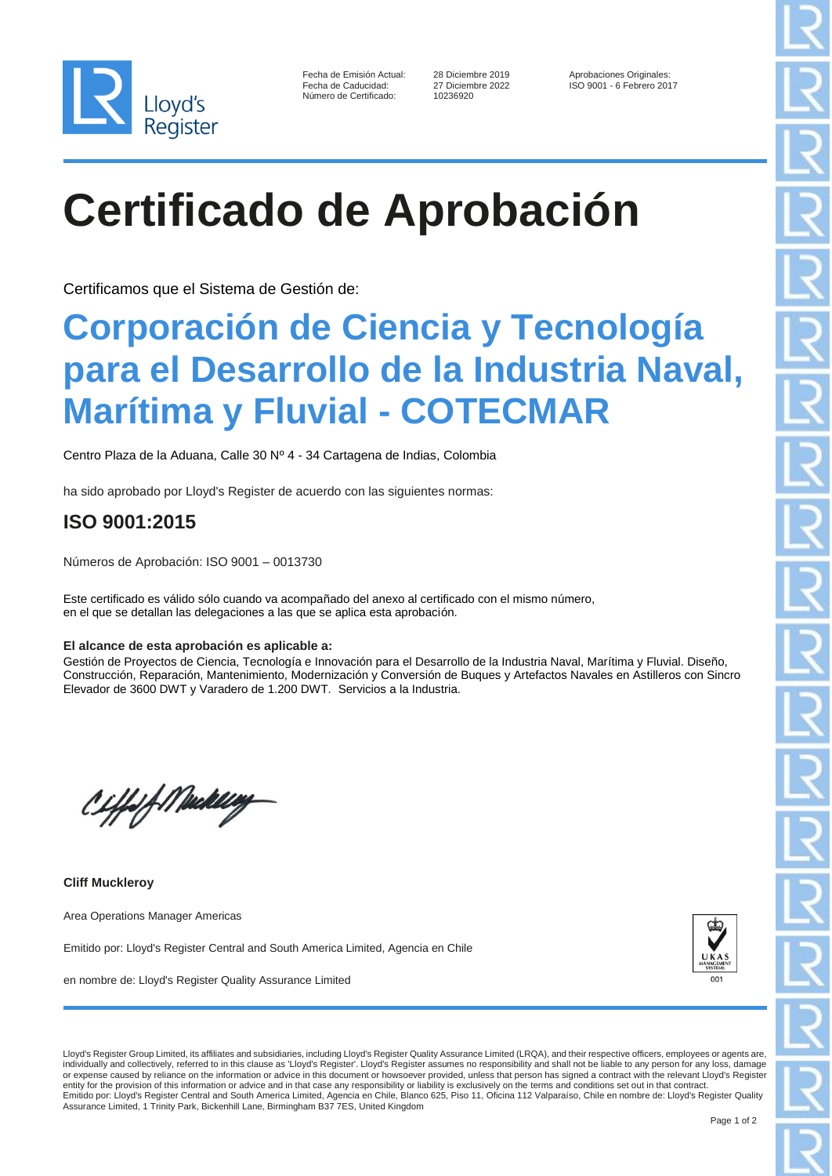

| Fecha de Emisión Actual: |  |
|--------------------------|--|
| Fecha de Caducidad:      |  |
| Número de Certificado:   |  |

10236920

Fecha de Emisión Actual: 28 Diciembre 2019 Aprobaciones Originales: ISO 9001 - 6 Febrero 2017

# **Certificado de Aprobación**

Certificamos que el Sistema de Gestión de:

### **Corporación de Ciencia y Tecnología para el Desarrollo de la Industria Naval, Marítima y Fluvial - COTECMAR**

Centro Plaza de la Aduana, Calle 30 Nº 4 - 34 Cartagena de Indias, Colombia

ha sido aprobado por Lloyd's Register de acuerdo con las siguientes normas:

### **ISO 9001:2015**

Números de Aprobación: ISO 9001 – 0013730

Este certificado es válido sólo cuando va acompañado del anexo al certificado con el mismo número, en el que se detallan las delegaciones a las que se aplica esta aprobación.

#### **El alcance de esta aprobación es aplicable a:**

Gestión de Proyectos de Ciencia, Tecnología e Innovación para el Desarrollo de la Industria Naval, Marítima y Fluvial. Diseño, Construcción, Reparación, Mantenimiento, Modernización y Conversión de Buques y Artefactos Navales en Astilleros con Sincro Elevador de 3600 DWT y Varadero de 1.200 DWT. Servicios a la Industria.

CHfof Meddley

**Cliff Muckleroy**

Area Operations Manager Americas

Emitido por: Lloyd's Register Central and South America Limited, Agencia en Chile

en nombre de: Lloyd's Register Quality Assurance Limited



Lloyd's Register Group Limited, its affiliates and subsidiaries, including Lloyd's Register Quality Assurance Limited (LRQA), and their respective officers, employees or agents are, individually and collectively, referred to in this clause as 'Lloyd's Register'. Lloyd's Register assumes no responsibility and shall not be liable to any person for any loss, damage or expense caused by reliance on the information or advice in this document or howsoever provided, unless that person has signed a contract with the relevant Lloyd's Register<br>entity for the provision of this information or Emitido por: Lloyd's Register Central and South America Limited, Agencia en Chile, Blanco 625, Piso 11, Oficina 112 Valparaíso, Chile en nombre de: Lloyd's Register Quality Assurance Limited, 1 Trinity Park, Bickenhill Lane, Birmingham B37 7ES, United Kingdom